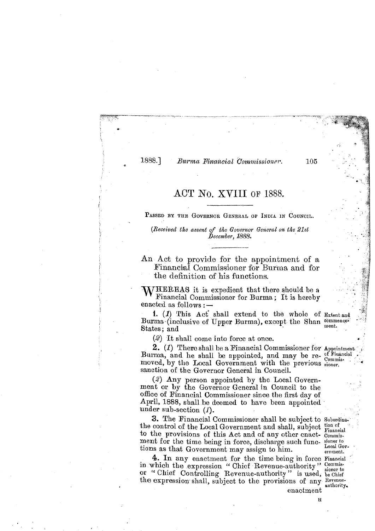1888.1

### Burma Financial Commissioner.

105

## ACT No. XVIII OF 1388.

PASSED BY THE GOVERNOR GENERAL OF INDIA IN COUNCIL.

*(Received the assent of the Governor General on the 21st December, 1888.* 

An Act to provide for the appointment of a Financial Commisaioner for Burma and for x the definition of his functions.

 $M/HEREAS$  it is expedient that there should be a WHEREAS it is expedient that there should be a<br>
Financial Commissioner for Burma; It is hereby<br>
anacted as follows : -<br>
1. (1) This Act' shall extend to the whole of Extent and

1. (1) This Act shall extend to the whole of Extent and  $3$ urma (inclusive of Upper Burma), except the Shan commence States; and

(2) It shall come into force at once. **<sup>a</sup>**

2. (1) There shall be a Financial Commissioner for Appointment Burma, and he shall be appointed, and may be re- of Financial moved, by the Local Government with the previous signer. sanction of the Governor General in Council.

(2) Any person appointed by the Local Government or by the Governor General in Council to the office of Financial Commissioner since the first day of April, 1888, shall be deemed to have been appointed under sub-section (1).

3. The Financial Commipsioner shall be subject to Subordinathe control of the Local Government and shall, subject tion of to the provisions of this Act and of any other enact- Commisment for the time being in force, discharge such func- signer to tions an that  $C$  are summer and mean  $\frac{1}{2}$  ,  $\frac{1}{2}$  ,  $\frac{1}{2}$  ,  $\frac{1}{2}$  ,  $\frac{1}{2}$  ,  $\frac{1}{2}$  ,  $\frac{1}{2}$  ,  $\frac{1}{2}$  ,  $\frac{1}{2}$  ,  $\frac{1}{2}$  tions as that Government may assign to him. enneat ...

**4.** In any enactment for the time being in force Financial in which the expression " Chief Revenue-authority" Commissioner to The Chief Controlling Revenue-authority" is used, be Chief the expression shall, subject to the provisions of any Revenu-

.. .

**-3** 

enactment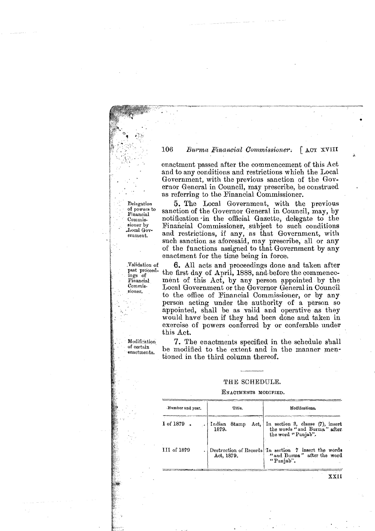#### 106 Burma Financial Commissioner. LACT XVIII

enactment passed after the commencement of this Act and to any conditions and restrictions which the Local Government, with the previous sanction of the Gov ernor General in Council, may prescribe, be construed as referring to the Financial Commissioner.

as referring to the Financial Commissioner.<br>
Delegation 5. The Local Government, with the<br>
of powers to<br>
Financial Commis-<br>
notification in the official Gazette, delegation<br>
in the official Gazette, delegation<br>
sioner by<br> Delegation **5.** The Local Government, with the previous of powers to sanction of the Governor General in Council, may, by Commis. notification in the official Gazette, delegate to the Commis. notification-in the official Gazette, delegate to the sioner by Financial Commissioner, subject to such conditions Local Gov-<br>
ernment. and restrictions, if any, as that Government, with ernment, and restrictions, if any, as that Government, with **EXECUTE:** Such sanction as aforesaid, may prescribe, all or any of the functions assigned to that Government by any enactment for the time being in force.

Validation of **6.** All acts and proceedings done and taken after past proceed. the first day of April, 1888, and before the commencepast proceed the first day of April, 1888, and before the commence-<br>Financial ment of this Act, by any person appointed by the Financial ment of this Act, by any person appointed by the Commis-<br>Commis- Those Roycemment or the Governor General in Council Local Government or the Governor General in Council to the office of Financial Commjssioner, or by any person acting under the authority of a person so appointed, shall be as valid and operative as they would have been if they had been done and taken in exercise of powers conferred by or conferable under this Act.

Modification 7. The enactments specified in the schedule shall be modified to the extent and in the manner mentioned in the third column thereof.

### THE SCHEDULE.

#### **ENACTMENTS MODIFIED.**

| Number and year. | Title.                            | Modifications.                                                                                  |
|------------------|-----------------------------------|-------------------------------------------------------------------------------------------------|
| I of $1879$ .    | Indian <br>Act,<br>Stamp<br>1879. | In section 3, clause (7), insert<br>the words "and Burma" after<br>the word "Punjab".           |
| III of 1879      | Act. 1879.                        | Destruction of Records In section 7 insert the words<br>"and Burma" after the word<br>"Punjab". |

sioner.

of certain<br>enactments.

. :

**XXII**